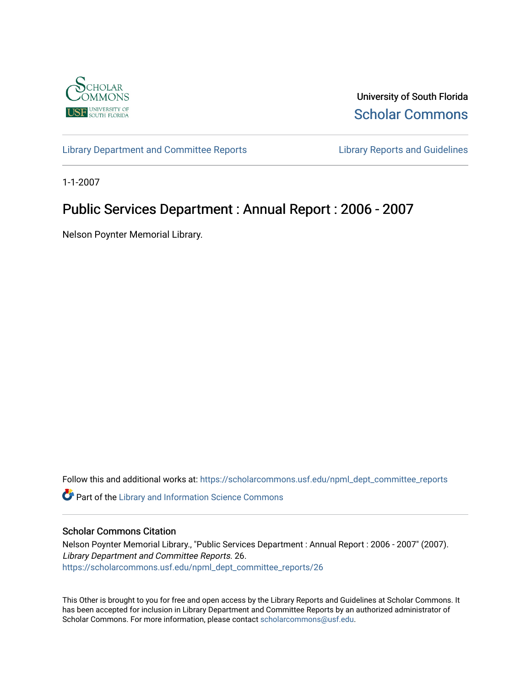

University of South Florida [Scholar Commons](https://scholarcommons.usf.edu/) 

[Library Department and Committee Reports](https://scholarcommons.usf.edu/npml_dept_committee_reports) [Library Reports and Guidelines](https://scholarcommons.usf.edu/npml_reports_guidelines_instruct_materials) 

1-1-2007

# Public Services Department : Annual Report : 2006 - 2007

Nelson Poynter Memorial Library.

Follow this and additional works at: [https://scholarcommons.usf.edu/npml\\_dept\\_committee\\_reports](https://scholarcommons.usf.edu/npml_dept_committee_reports?utm_source=scholarcommons.usf.edu%2Fnpml_dept_committee_reports%2F26&utm_medium=PDF&utm_campaign=PDFCoverPages)

Part of the [Library and Information Science Commons](http://network.bepress.com/hgg/discipline/1018?utm_source=scholarcommons.usf.edu%2Fnpml_dept_committee_reports%2F26&utm_medium=PDF&utm_campaign=PDFCoverPages) 

#### Scholar Commons Citation

Nelson Poynter Memorial Library., "Public Services Department : Annual Report : 2006 - 2007" (2007). Library Department and Committee Reports. 26. [https://scholarcommons.usf.edu/npml\\_dept\\_committee\\_reports/26](https://scholarcommons.usf.edu/npml_dept_committee_reports/26?utm_source=scholarcommons.usf.edu%2Fnpml_dept_committee_reports%2F26&utm_medium=PDF&utm_campaign=PDFCoverPages) 

This Other is brought to you for free and open access by the Library Reports and Guidelines at Scholar Commons. It has been accepted for inclusion in Library Department and Committee Reports by an authorized administrator of Scholar Commons. For more information, please contact [scholarcommons@usf.edu](mailto:scholarcommons@usf.edu).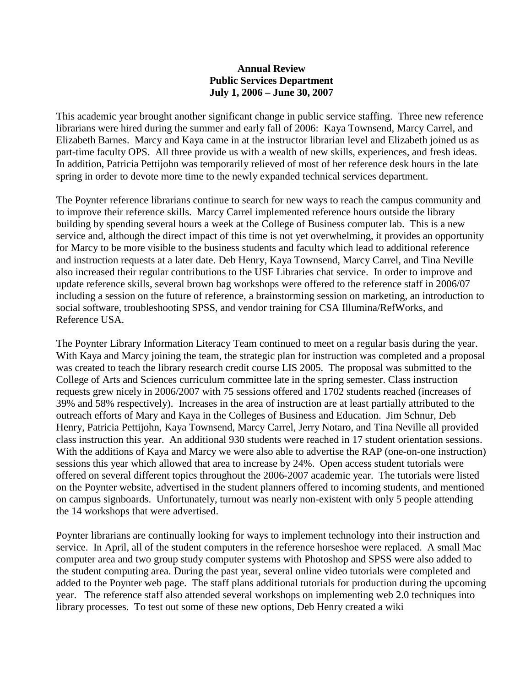#### **Annual Review Public Services Department July 1, 2006 – June 30, 2007**

This academic year brought another significant change in public service staffing. Three new reference librarians were hired during the summer and early fall of 2006: Kaya Townsend, Marcy Carrel, and Elizabeth Barnes. Marcy and Kaya came in at the instructor librarian level and Elizabeth joined us as part-time faculty OPS. All three provide us with a wealth of new skills, experiences, and fresh ideas. In addition, Patricia Pettijohn was temporarily relieved of most of her reference desk hours in the late spring in order to devote more time to the newly expanded technical services department.

The Poynter reference librarians continue to search for new ways to reach the campus community and to improve their reference skills. Marcy Carrel implemented reference hours outside the library building by spending several hours a week at the College of Business computer lab. This is a new service and, although the direct impact of this time is not yet overwhelming, it provides an opportunity for Marcy to be more visible to the business students and faculty which lead to additional reference and instruction requests at a later date. Deb Henry, Kaya Townsend, Marcy Carrel, and Tina Neville also increased their regular contributions to the USF Libraries chat service. In order to improve and update reference skills, several brown bag workshops were offered to the reference staff in 2006/07 including a session on the future of reference, a brainstorming session on marketing, an introduction to social software, troubleshooting SPSS, and vendor training for CSA Illumina/RefWorks, and Reference USA.

The Poynter Library Information Literacy Team continued to meet on a regular basis during the year. With Kaya and Marcy joining the team, the strategic plan for instruction was completed and a proposal was created to teach the library research credit course LIS 2005. The proposal was submitted to the College of Arts and Sciences curriculum committee late in the spring semester. Class instruction requests grew nicely in 2006/2007 with 75 sessions offered and 1702 students reached (increases of 39% and 58% respectively). Increases in the area of instruction are at least partially attributed to the outreach efforts of Mary and Kaya in the Colleges of Business and Education. Jim Schnur, Deb Henry, Patricia Pettijohn, Kaya Townsend, Marcy Carrel, Jerry Notaro, and Tina Neville all provided class instruction this year. An additional 930 students were reached in 17 student orientation sessions. With the additions of Kaya and Marcy we were also able to advertise the RAP (one-on-one instruction) sessions this year which allowed that area to increase by 24%. Open access student tutorials were offered on several different topics throughout the 2006-2007 academic year. The tutorials were listed on the Poynter website, advertised in the student planners offered to incoming students, and mentioned on campus signboards. Unfortunately, turnout was nearly non-existent with only 5 people attending the 14 workshops that were advertised.

Poynter librarians are continually looking for ways to implement technology into their instruction and service. In April, all of the student computers in the reference horseshoe were replaced. A small Mac computer area and two group study computer systems with Photoshop and SPSS were also added to the student computing area. During the past year, several online video tutorials were completed and added to the Poynter web page. The staff plans additional tutorials for production during the upcoming year. The reference staff also attended several workshops on implementing web 2.0 techniques into library processes. To test out some of these new options, Deb Henry created a wiki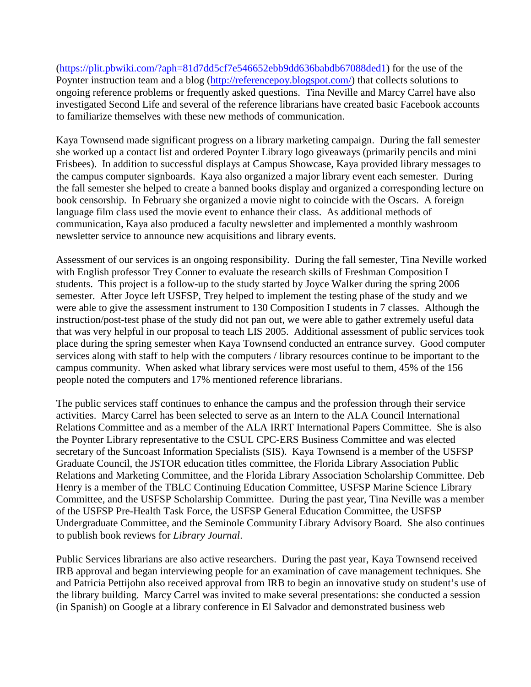[\(https://plit.pbwiki.com/?aph=81d7dd5cf7e546652ebb9dd636babdb67088ded1\)](https://plit.pbwiki.com/?aph=81d7dd5cf7e546652ebb9dd636babdb67088ded1) for the use of the Poynter instruction team and a blog [\(http://referencepoy.blogspot.com/\)](http://referencepoy.blogspot.com/) that collects solutions to ongoing reference problems or frequently asked questions. Tina Neville and Marcy Carrel have also investigated Second Life and several of the reference librarians have created basic Facebook accounts to familiarize themselves with these new methods of communication.

Kaya Townsend made significant progress on a library marketing campaign. During the fall semester she worked up a contact list and ordered Poynter Library logo giveaways (primarily pencils and mini Frisbees). In addition to successful displays at Campus Showcase, Kaya provided library messages to the campus computer signboards. Kaya also organized a major library event each semester. During the fall semester she helped to create a banned books display and organized a corresponding lecture on book censorship. In February she organized a movie night to coincide with the Oscars. A foreign language film class used the movie event to enhance their class. As additional methods of communication, Kaya also produced a faculty newsletter and implemented a monthly washroom newsletter service to announce new acquisitions and library events.

Assessment of our services is an ongoing responsibility. During the fall semester, Tina Neville worked with English professor Trey Conner to evaluate the research skills of Freshman Composition I students. This project is a follow-up to the study started by Joyce Walker during the spring 2006 semester. After Joyce left USFSP, Trey helped to implement the testing phase of the study and we were able to give the assessment instrument to 130 Composition I students in 7 classes. Although the instruction/post-test phase of the study did not pan out, we were able to gather extremely useful data that was very helpful in our proposal to teach LIS 2005. Additional assessment of public services took place during the spring semester when Kaya Townsend conducted an entrance survey. Good computer services along with staff to help with the computers / library resources continue to be important to the campus community. When asked what library services were most useful to them, 45% of the 156 people noted the computers and 17% mentioned reference librarians.

The public services staff continues to enhance the campus and the profession through their service activities. Marcy Carrel has been selected to serve as an Intern to the ALA Council International Relations Committee and as a member of the ALA IRRT International Papers Committee. She is also the Poynter Library representative to the CSUL CPC-ERS Business Committee and was elected secretary of the Suncoast Information Specialists (SIS). Kaya Townsend is a member of the USFSP Graduate Council, the JSTOR education titles committee, the Florida Library Association Public Relations and Marketing Committee, and the Florida Library Association Scholarship Committee. Deb Henry is a member of the TBLC Continuing Education Committee, USFSP Marine Science Library Committee, and the USFSP Scholarship Committee. During the past year, Tina Neville was a member of the USFSP Pre-Health Task Force, the USFSP General Education Committee, the USFSP Undergraduate Committee, and the Seminole Community Library Advisory Board. She also continues to publish book reviews for *Library Journal*.

Public Services librarians are also active researchers. During the past year, Kaya Townsend received IRB approval and began interviewing people for an examination of cave management techniques. She and Patricia Pettijohn also received approval from IRB to begin an innovative study on student's use of the library building. Marcy Carrel was invited to make several presentations: she conducted a session (in Spanish) on Google at a library conference in El Salvador and demonstrated business web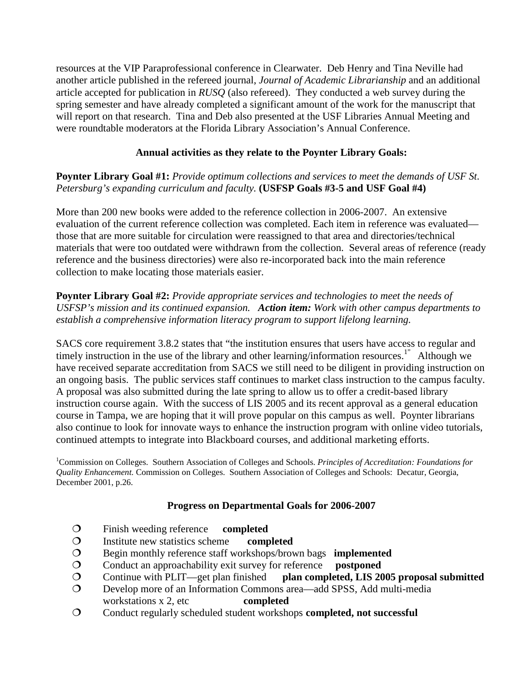resources at the VIP Paraprofessional conference in Clearwater. Deb Henry and Tina Neville had another article published in the refereed journal, *Journal of Academic Librarianship* and an additional article accepted for publication in *RUSQ* (also refereed). They conducted a web survey during the spring semester and have already completed a significant amount of the work for the manuscript that will report on that research. Tina and Deb also presented at the USF Libraries Annual Meeting and were roundtable moderators at the Florida Library Association's Annual Conference.

## **Annual activities as they relate to the Poynter Library Goals:**

#### **Poynter Library Goal #1:** *Provide optimum collections and services to meet the demands of USF St. Petersburg's expanding curriculum and faculty.* **(USFSP Goals #3-5 and USF Goal #4)**

More than 200 new books were added to the reference collection in 2006-2007. An extensive evaluation of the current reference collection was completed. Each item in reference was evaluated those that are more suitable for circulation were reassigned to that area and directories/technical materials that were too outdated were withdrawn from the collection. Several areas of reference (ready reference and the business directories) were also re-incorporated back into the main reference collection to make locating those materials easier.

**Poynter Library Goal #2:** *Provide appropriate services and technologies to meet the needs of USFSP's mission and its continued expansion. Action item: Work with other campus departments to establish a comprehensive information literacy program to support lifelong learning.*

SACS core requirement 3.8.2 states that "the institution ensures that users have access to regular and timely instruction in the use of the library and other learning/information resources.<sup>1"</sup> Although we have received separate accreditation from SACS we still need to be diligent in providing instruction on an ongoing basis. The public services staff continues to market class instruction to the campus faculty. A proposal was also submitted during the late spring to allow us to offer a credit-based library instruction course again. With the success of LIS 2005 and its recent approval as a general education course in Tampa, we are hoping that it will prove popular on this campus as well. Poynter librarians also continue to look for innovate ways to enhance the instruction program with online video tutorials, continued attempts to integrate into Blackboard courses, and additional marketing efforts.

1 Commission on Colleges. Southern Association of Colleges and Schools. *Principles of Accreditation: Foundations for Quality Enhancement.* Commission on Colleges. Southern Association of Colleges and Schools: Decatur, Georgia, December 2001, p.26.

#### **Progress on Departmental Goals for 2006-2007**

- Finish weeding reference **completed**
- Institute new statistics scheme **completed**
- Begin monthly reference staff workshops/brown bags **implemented**
- O Conduct an approachability exit survey for reference **postponed**<br> **O** Continue with PLIT—get plan finished **plan completed, LIS 20**
- Continue with PLIT—get plan finished **plan completed, LIS 2005 proposal submitted**
- Develop more of an Information Commons area—add SPSS, Add multi-media workstations x 2, etc **completed**
- Conduct regularly scheduled student workshops **completed, not successful**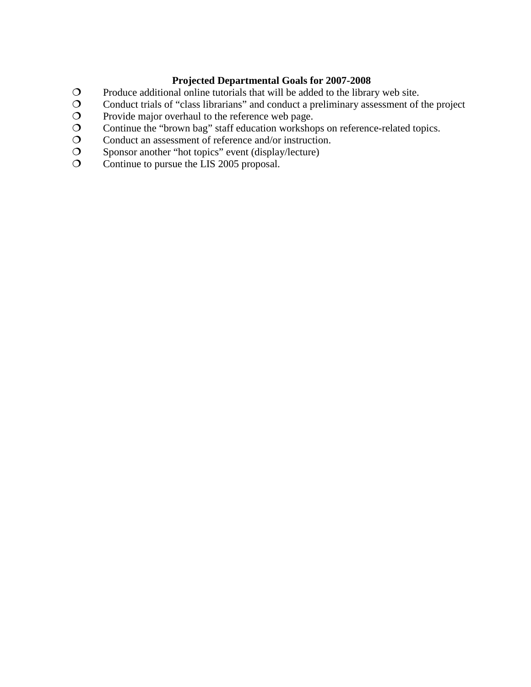#### **Projected Departmental Goals for 2007-2008**

- Produce additional online tutorials that will be added to the library web site.
- Conduct trials of "class librarians" and conduct a preliminary assessment of the project
- Provide major overhaul to the reference web page.
- Continue the "brown bag" staff education workshops on reference-related topics.
- Conduct an assessment of reference and/or instruction.
- Sponsor another "hot topics" event (display/lecture)
- Continue to pursue the LIS 2005 proposal.